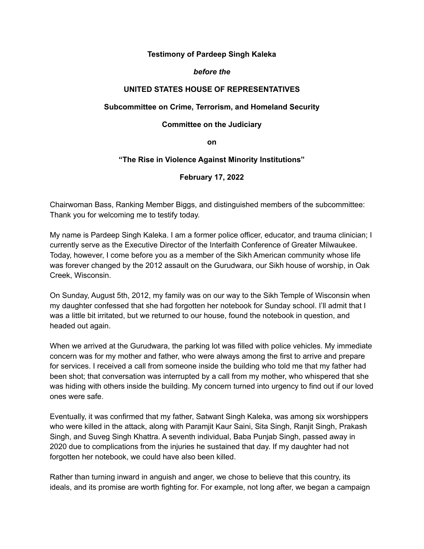# **Testimony of Pardeep Singh Kaleka**

### *before the*

# **UNITED STATES HOUSE OF REPRESENTATIVES**

### **Subcommittee on Crime, Terrorism, and Homeland Security**

#### **Committee on the Judiciary**

**on**

### **"The Rise in Violence Against Minority Institutions"**

### **February 17, 2022**

Chairwoman Bass, Ranking Member Biggs, and distinguished members of the subcommittee: Thank you for welcoming me to testify today.

My name is Pardeep Singh Kaleka. I am a former police officer, educator, and trauma clinician; I currently serve as the Executive Director of the Interfaith Conference of Greater Milwaukee. Today, however, I come before you as a member of the Sikh American community whose life was forever changed by the 2012 assault on the Gurudwara, our Sikh house of worship, in Oak Creek, Wisconsin.

On Sunday, August 5th, 2012, my family was on our way to the Sikh Temple of Wisconsin when my daughter confessed that she had forgotten her notebook for Sunday school. I'll admit that I was a little bit irritated, but we returned to our house, found the notebook in question, and headed out again.

When we arrived at the Gurudwara, the parking lot was filled with police vehicles. My immediate concern was for my mother and father, who were always among the first to arrive and prepare for services. I received a call from someone inside the building who told me that my father had been shot; that conversation was interrupted by a call from my mother, who whispered that she was hiding with others inside the building. My concern turned into urgency to find out if our loved ones were safe.

Eventually, it was confirmed that my father, Satwant Singh Kaleka, was among six worshippers who were killed in the attack, along with Paramjit Kaur Saini, Sita Singh, Ranjit Singh, Prakash Singh, and Suveg Singh Khattra. A seventh individual, Baba Punjab Singh, passed away in 2020 due to complications from the injuries he sustained that day. If my daughter had not forgotten her notebook, we could have also been killed.

Rather than turning inward in anguish and anger, we chose to believe that this country, its ideals, and its promise are worth fighting for. For example, not long after, we began a campaign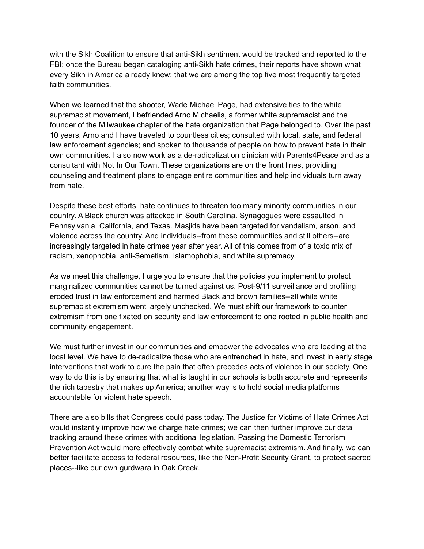with the Sikh Coalition to ensure that anti-Sikh sentiment would be tracked and reported to the FBI; once the Bureau began cataloging anti-Sikh hate crimes, their reports have shown what every Sikh in America already knew: that we are among the top five most frequently targeted faith communities.

When we learned that the shooter, Wade Michael Page, had extensive ties to the white supremacist movement, I befriended Arno Michaelis, a former white supremacist and the founder of the Milwaukee chapter of the hate organization that Page belonged to. Over the past 10 years, Arno and I have traveled to countless cities; consulted with local, state, and federal law enforcement agencies; and spoken to thousands of people on how to prevent hate in their own communities. I also now work as a de-radicalization clinician with Parents4Peace and as a consultant with Not In Our Town. These organizations are on the front lines, providing counseling and treatment plans to engage entire communities and help individuals turn away from hate.

Despite these best efforts, hate continues to threaten too many minority communities in our country. A Black church was attacked in South Carolina. Synagogues were assaulted in Pennsylvania, California, and Texas. Masjids have been targeted for vandalism, arson, and violence across the country. And individuals--from these communities and still others--are increasingly targeted in hate crimes year after year. All of this comes from of a toxic mix of racism, xenophobia, anti-Semetism, Islamophobia, and white supremacy.

As we meet this challenge, I urge you to ensure that the policies you implement to protect marginalized communities cannot be turned against us. Post-9/11 surveillance and profiling eroded trust in law enforcement and harmed Black and brown families--all while white supremacist extremism went largely unchecked. We must shift our framework to counter extremism from one fixated on security and law enforcement to one rooted in public health and community engagement.

We must further invest in our communities and empower the advocates who are leading at the local level. We have to de-radicalize those who are entrenched in hate, and invest in early stage interventions that work to cure the pain that often precedes acts of violence in our society. One way to do this is by ensuring that what is taught in our schools is both accurate and represents the rich tapestry that makes up America; another way is to hold social media platforms accountable for violent hate speech.

There are also bills that Congress could pass today. The Justice for Victims of Hate Crimes Act would instantly improve how we charge hate crimes; we can then further improve our data tracking around these crimes with additional legislation. Passing the Domestic Terrorism Prevention Act would more effectively combat white supremacist extremism. And finally, we can better facilitate access to federal resources, like the Non-Profit Security Grant, to protect sacred places--like our own gurdwara in Oak Creek.